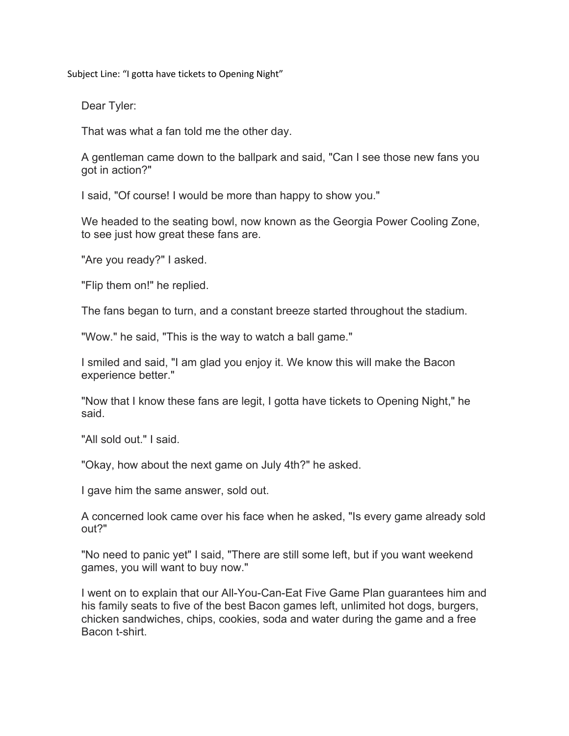Subject Line: "I gotta have tickets to Opening Night"

Dear Tyler:

That was what a fan told me the other day.

A gentleman came down to the ballpark and said, "Can I see those new fans you got in action?"

I said, "Of course! I would be more than happy to show you."

We headed to the seating bowl, now known as the Georgia Power Cooling Zone, to see just how great these fans are.

"Are you ready?" I asked.

"Flip them on!" he replied.

The fans began to turn, and a constant breeze started throughout the stadium.

"Wow." he said, "This is the way to watch a ball game."

I smiled and said, "I am glad you enjoy it. We know this will make the Bacon experience better."

"Now that I know these fans are legit, I gotta have tickets to Opening Night," he said.

"All sold out." I said.

"Okay, how about the next game on July 4th?" he asked.

I gave him the same answer, sold out.

A concerned look came over his face when he asked, "Is every game already sold out?"

"No need to panic yet" I said, "There are still some left, but if you want weekend games, you will want to buy now."

I went on to explain that our All-You-Can-Eat Five Game Plan guarantees him and his family seats to five of the best Bacon games left, unlimited hot dogs, burgers, chicken sandwiches, chips, cookies, soda and water during the game and a free Bacon t-shirt.